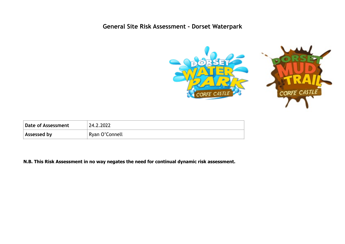## **General Site Risk Assessment - Dorset Waterpark**



| Date of Assessment | 24.2.2022      |
|--------------------|----------------|
| Assessed by        | Ryan O'Connell |

**N.B. This Risk Assessment in no way negates the need for continual dynamic risk assessment.**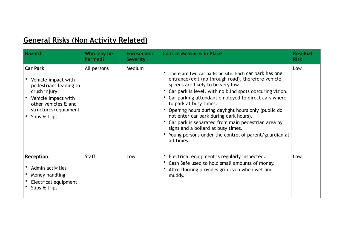## **General Risks (Non Activity Related)**

| <b>Hazard</b>                                                                                                                                                            | Who may be<br>harmed? | <b>Foreseeable</b><br><b>Severity</b> | <b>Control Measures in Place</b>                                                                                                                                                                                                                                                                                                                                                                                                                                                                                                                                                    | <b>Residual</b><br><b>Risk</b> |
|--------------------------------------------------------------------------------------------------------------------------------------------------------------------------|-----------------------|---------------------------------------|-------------------------------------------------------------------------------------------------------------------------------------------------------------------------------------------------------------------------------------------------------------------------------------------------------------------------------------------------------------------------------------------------------------------------------------------------------------------------------------------------------------------------------------------------------------------------------------|--------------------------------|
| <b>Car Park</b><br>Vehicle impact with<br>pedestrians leading to<br>crush injury<br>Vehicle impact with<br>other vehicles & and<br>structures/equipment<br>Slips & trips | All persons           | Medium                                | There are two car parks on site. Each car park has one<br>entrance/exit (no through road), therefore vehicle<br>speeds are likely to be very low.<br>• Car park is level, with no blind spots obscuring vision.<br>Car parking attendant employed to direct cars where<br>$\bullet$<br>to park at busy times.<br>Opening hours during daylight hours only (public do<br>not enter car park during dark hours).<br>Car park is separated from main pedestrian area by<br>signs and a bollard at busy times.<br>• Young persons under the control of parent/guardian at<br>all times. | Low                            |
| <b>Reception</b><br>Admin activities<br>Money handling<br>Electrical equipment<br>Slips & trips                                                                          | <b>Staff</b>          | Low                                   | Electrical equipment is regularly inspected.<br>• Cash Safe used to hold small amounts of money.<br>Altro flooring provides grip even when wet and<br>muddy.                                                                                                                                                                                                                                                                                                                                                                                                                        | Low                            |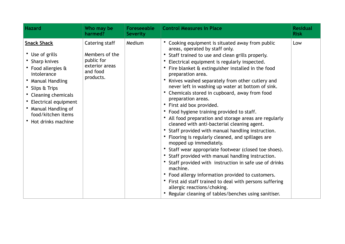| <b>Hazard</b>                                                                                                                                                                                                                                            | Who may be<br>harmed?                                                                     | <b>Foreseeable</b><br><b>Severity</b> | <b>Control Measures in Place</b>                                                                                                                                                                                                                                                                                                                                                                                                                                                                                                                                                                                                                                                                                                                                                                                                                                                                                                                                                                                                                                                                                                                                                             | <b>Residual</b><br><b>Risk</b> |
|----------------------------------------------------------------------------------------------------------------------------------------------------------------------------------------------------------------------------------------------------------|-------------------------------------------------------------------------------------------|---------------------------------------|----------------------------------------------------------------------------------------------------------------------------------------------------------------------------------------------------------------------------------------------------------------------------------------------------------------------------------------------------------------------------------------------------------------------------------------------------------------------------------------------------------------------------------------------------------------------------------------------------------------------------------------------------------------------------------------------------------------------------------------------------------------------------------------------------------------------------------------------------------------------------------------------------------------------------------------------------------------------------------------------------------------------------------------------------------------------------------------------------------------------------------------------------------------------------------------------|--------------------------------|
| <b>Snack Shack</b><br>• Use of grills<br>• Sharp knives<br>• Food allergies &<br>intolerance<br>• Manual Handling<br>• Slips & Trips<br>• Cleaning chemicals<br>• Electrical equipment<br>Manual Handling of<br>food/kitchen items<br>Hot drinks machine | Catering staff<br>Members of the<br>public for<br>exterior areas<br>and food<br>products. | Medium                                | Cooking equipment is situated away from public<br>areas, operated by staff only.<br>• Staff trained to use and clean grills properly.<br>Electrical equipment is regularly inspected.<br>$\bullet$<br>Fire blanket & extinguisher installed in the food<br>preparation area.<br>Knives washed separately from other cutlery and<br>$\bullet$<br>never left in washing up water at bottom of sink.<br>Chemicals stored in cupboard, away from food<br>preparation areas.<br>• First aid box provided.<br>• Food hygiene training provided to staff.<br>All food preparation and storage areas are regularly<br>cleaned with anti-bacterial cleaning agent.<br>• Staff provided with manual handling instruction.<br>• Flooring is regularly cleaned, and spillages are<br>mopped up immediately.<br>* Staff wear appropriate footwear (closed toe shoes).<br>• Staff provided with manual handling instruction.<br>• Staff provided with instruction in safe use of drinks<br>machine.<br>• Food allergy information provided to customers.<br>First aid staff trained to deal with persons suffering<br>allergic reactions/choking.<br>• Regular cleaning of tables/benches using sanitiser. | Low                            |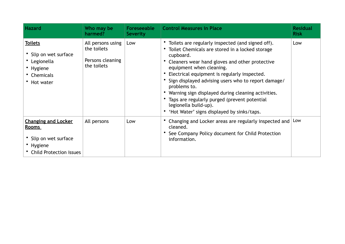| <b>Hazard</b>                                                                                                      | Who may be<br>harmed?                                               | <b>Foreseeable</b><br><b>Severity</b> | <b>Control Measures in Place</b>                                                                                                                                                                                                                                                                                                                                                                                                                                                                          | <b>Residual</b><br><b>Risk</b> |
|--------------------------------------------------------------------------------------------------------------------|---------------------------------------------------------------------|---------------------------------------|-----------------------------------------------------------------------------------------------------------------------------------------------------------------------------------------------------------------------------------------------------------------------------------------------------------------------------------------------------------------------------------------------------------------------------------------------------------------------------------------------------------|--------------------------------|
| <b>Toilets</b><br>• Slip on wet surface<br>• Legionella<br>• Hygiene<br>• Chemicals<br>• Hot water                 | All persons using<br>the toilets<br>Persons cleaning<br>the toilets | Low                                   | • Toilets are regularly inspected (and signed off).<br>Toilet Chemicals are stored in a locked storage<br>cupboard.<br>Cleaners wear hand gloves and other protective<br>equipment when cleaning.<br>Electrical equipment is regularly inspected.<br>Sign displayed advising users who to report damage/<br>problems to.<br>• Warning sign displayed during cleaning activities.<br>• Taps are regularly purged (prevent potential<br>legionella build-up).<br>'Hot Water' signs displayed by sinks/taps. | Low                            |
| <b>Changing and Locker</b><br><u>Rooms</u><br>• Slip on wet surface<br>• Hygiene<br><b>Child Protection issues</b> | All persons                                                         | Low                                   | Changing and Locker areas are regularly inspected and<br>cleaned.<br>See Company Policy document for Child Protection<br>information.                                                                                                                                                                                                                                                                                                                                                                     | Low                            |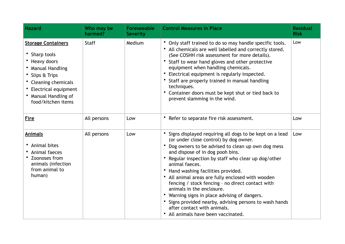| <b>Hazard</b>                                                                                                                                                                                       | Who may be<br>harmed? | <b>Foreseeable</b><br><b>Severity</b> | <b>Control Measures in Place</b>                                                                                                                                                                                                                                                                                                                                                                                                                                                                                                                                                                                                           | <b>Residual</b><br><b>Risk</b> |
|-----------------------------------------------------------------------------------------------------------------------------------------------------------------------------------------------------|-----------------------|---------------------------------------|--------------------------------------------------------------------------------------------------------------------------------------------------------------------------------------------------------------------------------------------------------------------------------------------------------------------------------------------------------------------------------------------------------------------------------------------------------------------------------------------------------------------------------------------------------------------------------------------------------------------------------------------|--------------------------------|
| <b>Storage Containers</b><br>• Sharp tools<br>• Heavy doors<br>• Manual Handling<br>• Slips & Trips<br>• Cleaning chemicals<br>• Electrical equipment<br>• Manual Handling of<br>food/kitchen items | <b>Staff</b>          | Medium                                | • Only staff trained to do so may handle specific tools.<br>• All chemicals are well labelled and correctly stored.<br>(See COSHH risk assessment for more details).<br>• Staff to wear hand gloves and other protective<br>equipment when handling chemicals.<br>Electrical equipment is regularly inspected.<br>$\bullet$<br>• Staff are properly trained in manual handling<br>techniques.<br>• Container doors must be kept shut or tied back to<br>prevent slamming in the wind.                                                                                                                                                      | Low                            |
| <b>Fire</b>                                                                                                                                                                                         | All persons           | Low                                   | Refer to separate fire risk assessment.                                                                                                                                                                                                                                                                                                                                                                                                                                                                                                                                                                                                    | Low                            |
| <b>Animals</b><br>• Animal bites<br>• Animal faeces<br>• Zoonoses from<br>animals (infection<br>from animal to<br>human)                                                                            | All persons           | Low                                   | Signs displayed requiring all dogs to be kept on a lead<br>(or under close control) by dog owner.<br>Dog owners to be advised to clean up own dog mess<br>and dispose of in dog pooh bins.<br>Regular inspection by staff who clear up dog/other<br>animal faeces.<br>Hand washing facilities provided.<br>$\bullet$<br>• All animal areas are fully enclosed with wooden<br>fencing / stock fencing - no direct contact with<br>animals in the enclosure.<br>• Warning signs in place advising of dangers.<br>• Signs provided nearby, advising persons to wash hands<br>after contact with animals.<br>All animals have been vaccinated. | Low                            |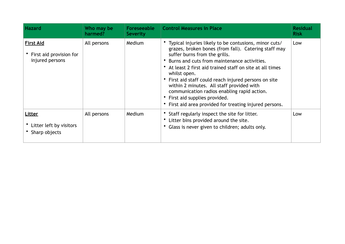| <b>Hazard</b>                                                  | Who may be<br>harmed? | <b>Foreseeable</b><br><b>Severity</b> | <b>Control Measures in Place</b>                                                                                                                                                                                                                                                                                                                                                                                                                                                                                           | <b>Residual</b><br><b>Risk</b> |
|----------------------------------------------------------------|-----------------------|---------------------------------------|----------------------------------------------------------------------------------------------------------------------------------------------------------------------------------------------------------------------------------------------------------------------------------------------------------------------------------------------------------------------------------------------------------------------------------------------------------------------------------------------------------------------------|--------------------------------|
| <b>First Aid</b><br>First aid provision for<br>injured persons | All persons           | Medium                                | • Typical injuries likely to be contusions, minor cuts/<br>grazes, broken bones (from fall). Catering staff may<br>suffer burns from the grills.<br>Burns and cuts from maintenance activities.<br>• At least 2 first aid trained staff on site at all times<br>whilst open.<br>First aid staff could reach injured persons on site<br>within 2 minutes. All staff provided with<br>communication radios enabling rapid action.<br>• First aid supplies provided.<br>First aid area provided for treating injured persons. | Low                            |
| <b>Litter</b><br>Litter left by visitors<br>Sharp objects      | All persons           | Medium                                | Staff regularly inspect the site for litter.<br>Litter bins provided around the site.<br>Glass is never given to children; adults only.                                                                                                                                                                                                                                                                                                                                                                                    | Low                            |